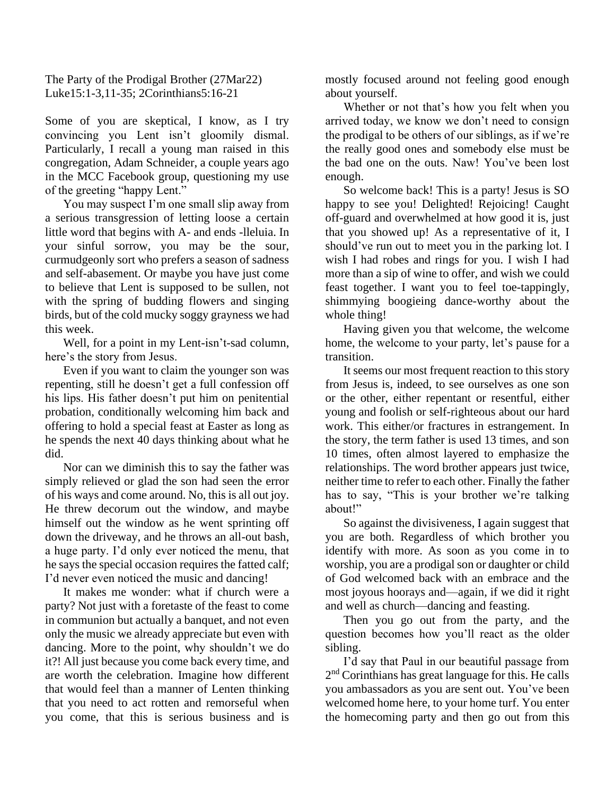The Party of the Prodigal Brother (27Mar22) Luke15:1-3,11-35; 2Corinthians5:16-21

Some of you are skeptical, I know, as I try convincing you Lent isn't gloomily dismal. Particularly, I recall a young man raised in this congregation, Adam Schneider, a couple years ago in the MCC Facebook group, questioning my use of the greeting "happy Lent."

You may suspect I'm one small slip away from a serious transgression of letting loose a certain little word that begins with A- and ends -lleluia. In your sinful sorrow, you may be the sour, curmudgeonly sort who prefers a season of sadness and self-abasement. Or maybe you have just come to believe that Lent is supposed to be sullen, not with the spring of budding flowers and singing birds, but of the cold mucky soggy grayness we had this week.

Well, for a point in my Lent-isn't-sad column, here's the story from Jesus.

Even if you want to claim the younger son was repenting, still he doesn't get a full confession off his lips. His father doesn't put him on penitential probation, conditionally welcoming him back and offering to hold a special feast at Easter as long as he spends the next 40 days thinking about what he did.

Nor can we diminish this to say the father was simply relieved or glad the son had seen the error of his ways and come around. No, this is all out joy. He threw decorum out the window, and maybe himself out the window as he went sprinting off down the driveway, and he throws an all-out bash, a huge party. I'd only ever noticed the menu, that he says the special occasion requires the fatted calf; I'd never even noticed the music and dancing!

It makes me wonder: what if church were a party? Not just with a foretaste of the feast to come in communion but actually a banquet, and not even only the music we already appreciate but even with dancing. More to the point, why shouldn't we do it?! All just because you come back every time, and are worth the celebration. Imagine how different that would feel than a manner of Lenten thinking that you need to act rotten and remorseful when you come, that this is serious business and is mostly focused around not feeling good enough about yourself.

Whether or not that's how you felt when you arrived today, we know we don't need to consign the prodigal to be others of our siblings, as if we're the really good ones and somebody else must be the bad one on the outs. Naw! You've been lost enough.

So welcome back! This is a party! Jesus is SO happy to see you! Delighted! Rejoicing! Caught off-guard and overwhelmed at how good it is, just that you showed up! As a representative of it, I should've run out to meet you in the parking lot. I wish I had robes and rings for you. I wish I had more than a sip of wine to offer, and wish we could feast together. I want you to feel toe-tappingly, shimmying boogieing dance-worthy about the whole thing!

Having given you that welcome, the welcome home, the welcome to your party, let's pause for a transition.

It seems our most frequent reaction to this story from Jesus is, indeed, to see ourselves as one son or the other, either repentant or resentful, either young and foolish or self-righteous about our hard work. This either/or fractures in estrangement. In the story, the term father is used 13 times, and son 10 times, often almost layered to emphasize the relationships. The word brother appears just twice, neither time to refer to each other. Finally the father has to say, "This is your brother we're talking about!"

So against the divisiveness, I again suggest that you are both. Regardless of which brother you identify with more. As soon as you come in to worship, you are a prodigal son or daughter or child of God welcomed back with an embrace and the most joyous hoorays and—again, if we did it right and well as church—dancing and feasting.

Then you go out from the party, and the question becomes how you'll react as the older sibling.

I'd say that Paul in our beautiful passage from 2<sup>nd</sup> Corinthians has great language for this. He calls you ambassadors as you are sent out. You've been welcomed home here, to your home turf. You enter the homecoming party and then go out from this